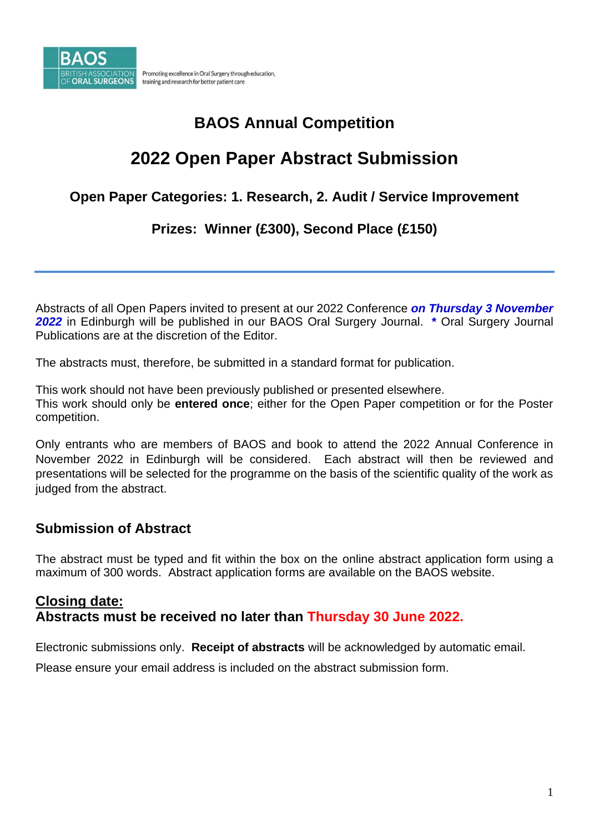

## **BAOS Annual Competition**

# **2022 Open Paper Abstract Submission**

### **Open Paper Categories: 1. Research, 2. Audit / Service Improvement**

### **Prizes: Winner (£300), Second Place (£150)**

Abstracts of all Open Papers invited to present at our 2022 Conference *on Thursday 3 November 2022* in Edinburgh will be published in our BAOS Oral Surgery Journal. **\*** Oral Surgery Journal Publications are at the discretion of the Editor.

The abstracts must, therefore, be submitted in a standard format for publication.

This work should not have been previously published or presented elsewhere. This work should only be **entered once**; either for the Open Paper competition or for the Poster competition.

Only entrants who are members of BAOS and book to attend the 2022 Annual Conference in November 2022 in Edinburgh will be considered. Each abstract will then be reviewed and presentations will be selected for the programme on the basis of the scientific quality of the work as judged from the abstract.

### **Submission of Abstract**

The abstract must be typed and fit within the box on the online abstract application form using a maximum of 300 words. Abstract application forms are available on the BAOS website.

### **Closing date: Abstracts must be received no later than Thursday 30 June 2022.**

Electronic submissions only. **Receipt of abstracts** will be acknowledged by automatic email.

Please ensure your email address is included on the abstract submission form.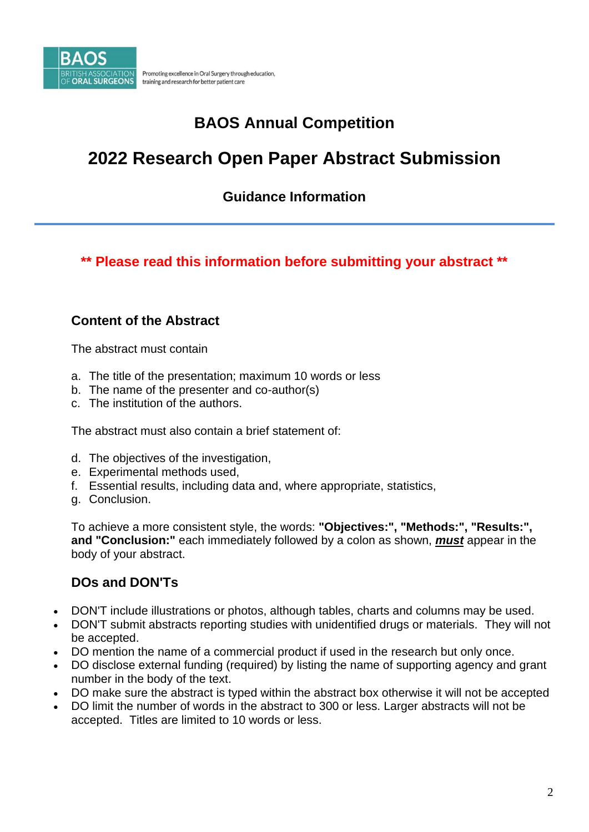

Promoting excellence in Oral Surgery through education, training and research for better patient care

# **BAOS Annual Competition**

# **2022 Research Open Paper Abstract Submission**

### **Guidance Information**

**\*\* Please read this information before submitting your abstract \*\***

#### **Content of the Abstract**

The abstract must contain

- a. The title of the presentation; maximum 10 words or less
- b. The name of the presenter and co-author(s)
- c. The institution of the authors.

The abstract must also contain a brief statement of:

- d. The objectives of the investigation,
- e. Experimental methods used,
- f. Essential results, including data and, where appropriate, statistics,
- g. Conclusion.

To achieve a more consistent style, the words: **"Objectives:", "Methods:", "Results:", and "Conclusion:"** each immediately followed by a colon as shown, *must* appear in the body of your abstract.

#### **DOs and DON'Ts**

- DON'T include illustrations or photos, although tables, charts and columns may be used.
- DON'T submit abstracts reporting studies with unidentified drugs or materials. They will not be accepted.
- DO mention the name of a commercial product if used in the research but only once.
- DO disclose external funding (required) by listing the name of supporting agency and grant number in the body of the text.
- DO make sure the abstract is typed within the abstract box otherwise it will not be accepted
- DO limit the number of words in the abstract to 300 or less. Larger abstracts will not be accepted. Titles are limited to 10 words or less.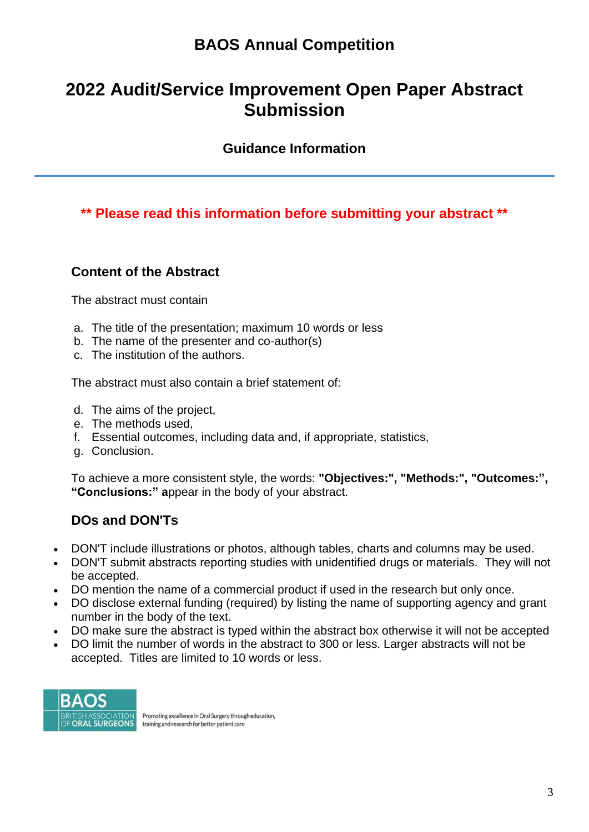## **BAOS Annual Competition**

# **2022 Audit/Service Improvement Open Paper Abstract Submission**

#### **Guidance Information**

### **\*\* Please read this information before submitting your abstract \*\***

#### **Content of the Abstract**

The abstract must contain

- a. The title of the presentation; maximum 10 words or less
- b. The name of the presenter and co-author(s)
- c. The institution of the authors.

The abstract must also contain a brief statement of:

- d. The aims of the project,
- e. The methods used,
- f. Essential outcomes, including data and, if appropriate, statistics,
- g. Conclusion.

To achieve a more consistent style, the words: **"Objectives:", "Methods:", "Outcomes:", "Conclusions:" a**ppear in the body of your abstract.

#### **DOs and DON'Ts**

- DON'T include illustrations or photos, although tables, charts and columns may be used.
- DON'T submit abstracts reporting studies with unidentified drugs or materials. They will not be accepted.
- DO mention the name of a commercial product if used in the research but only once.
- DO disclose external funding (required) by listing the name of supporting agency and grant number in the body of the text.
- DO make sure the abstract is typed within the abstract box otherwise it will not be accepted
- DO limit the number of words in the abstract to 300 or less. Larger abstracts will not be accepted. Titles are limited to 10 words or less.



Promoting excellence in Oral Surgery through education, training and research for better patient care